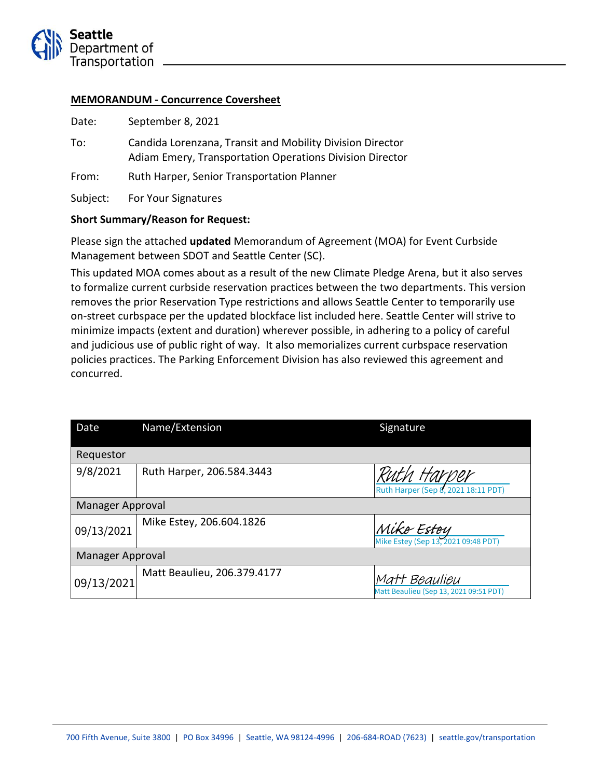

#### **MEMORANDUM - Concurrence Coversheet**

| Date:    | September 8, 2021                                                                                                     |  |
|----------|-----------------------------------------------------------------------------------------------------------------------|--|
| To:      | Candida Lorenzana, Transit and Mobility Division Director<br>Adiam Emery, Transportation Operations Division Director |  |
| From:    | Ruth Harper, Senior Transportation Planner                                                                            |  |
| Subject: | For Your Signatures                                                                                                   |  |

#### **Short Summary/Reason for Request:**

Please sign the attached **updated** Memorandum of Agreement (MOA) for Event Curbside Management between SDOT and Seattle Center (SC).

This updated MOA comes about as a result of the new Climate Pledge Arena, but it also serves to formalize current curbside reservation practices between the two departments. This version removes the prior Reservation Type restrictions and allows Seattle Center to temporarily use on-street curbspace per the updated blockface list included here. Seattle Center will strive to minimize impacts (extent and duration) wherever possible, in adhering to a policy of careful and judicious use of public right of way. It also memorializes current curbspace reservation policies practices. The Parking Enforcement Division has also reviewed this agreement and concurred.

| Date             | Name/Extension              | Signature                                               |  |
|------------------|-----------------------------|---------------------------------------------------------|--|
| Requestor        |                             |                                                         |  |
| 9/8/2021         | Ruth Harper, 206.584.3443   | Ruth Harper (Sep 8, 2021 18:11 PDT)                     |  |
| Manager Approval |                             |                                                         |  |
| 09/13/2021       | Mike Estey, 206.604.1826    | Mike Estey<br>Mike Estey (Sep 13, 2021 09:48 PDT)       |  |
| Manager Approval |                             |                                                         |  |
| 09/13/2021       | Matt Beaulieu, 206.379.4177 | Matt Beaulieu<br>Matt Beaulieu (Sep 13, 2021 09:51 PDT) |  |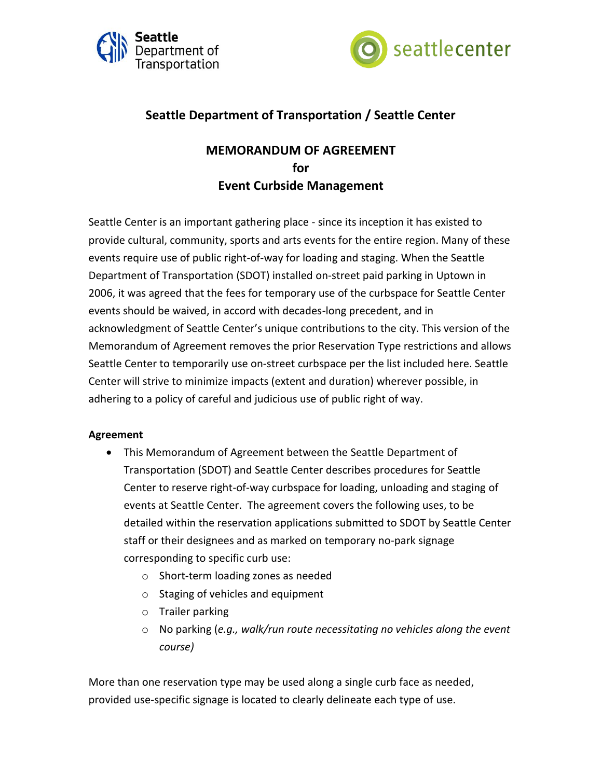



# **Seattle Department of Transportation / Seattle Center**

# **MEMORANDUM OF AGREEMENT for Event Curbside Management**

Seattle Center is an important gathering place - since its inception it has existed to provide cultural, community, sports and arts events for the entire region. Many of these events require use of public right-of-way for loading and staging. When the Seattle Department of Transportation (SDOT) installed on-street paid parking in Uptown in 2006, it was agreed that the fees for temporary use of the curbspace for Seattle Center events should be waived, in accord with decades-long precedent, and in acknowledgment of Seattle Center's unique contributions to the city. This version of the Memorandum of Agreement removes the prior Reservation Type restrictions and allows Seattle Center to temporarily use on-street curbspace per the list included here. Seattle Center will strive to minimize impacts (extent and duration) wherever possible, in adhering to a policy of careful and judicious use of public right of way.

#### **Agreement**

- This Memorandum of Agreement between the Seattle Department of Transportation (SDOT) and Seattle Center describes procedures for Seattle Center to reserve right-of-way curbspace for loading, unloading and staging of events at Seattle Center. The agreement covers the following uses, to be detailed within the reservation applications submitted to SDOT by Seattle Center staff or their designees and as marked on temporary no-park signage corresponding to specific curb use:
	- o Short-term loading zones as needed
	- o Staging of vehicles and equipment
	- o Trailer parking
	- o No parking (*e.g., walk/run route necessitating no vehicles along the event course)*

More than one reservation type may be used along a single curb face as needed, provided use-specific signage is located to clearly delineate each type of use.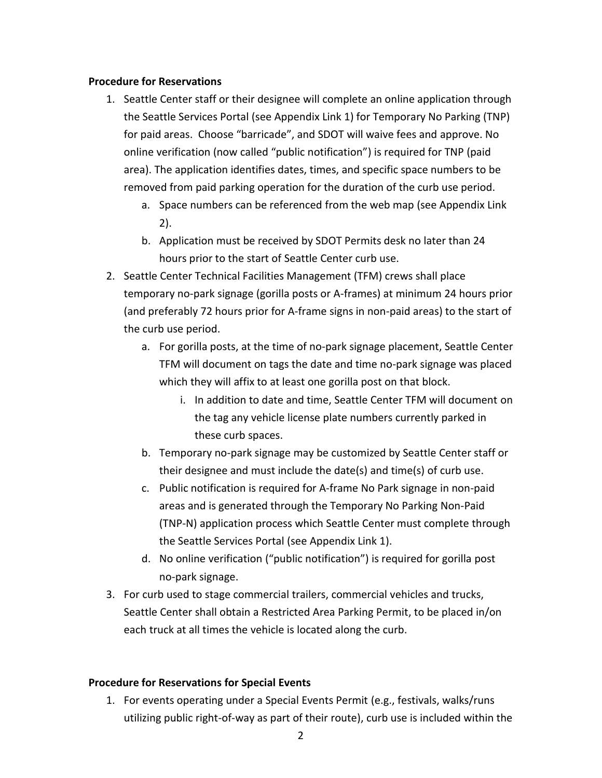#### **Procedure for Reservations**

- 1. Seattle Center staff or their designee will complete an online application through the Seattle Services Portal (see Appendix Link 1) for Temporary No Parking (TNP) for paid areas. Choose "barricade", and SDOT will waive fees and approve. No online verification (now called "public notification") is required for TNP (paid area). The application identifies dates, times, and specific space numbers to be removed from paid parking operation for the duration of the curb use period.
	- a. Space numbers can be referenced from the web map (see Appendix Link 2).
	- b. Application must be received by SDOT Permits desk no later than 24 hours prior to the start of Seattle Center curb use.
- 2. Seattle Center Technical Facilities Management (TFM) crews shall place temporary no-park signage (gorilla posts or A-frames) at minimum 24 hours prior (and preferably 72 hours prior for A-frame signs in non-paid areas) to the start of the curb use period.
	- a. For gorilla posts, at the time of no-park signage placement, Seattle Center TFM will document on tags the date and time no-park signage was placed which they will affix to at least one gorilla post on that block.
		- i. In addition to date and time, Seattle Center TFM will document on the tag any vehicle license plate numbers currently parked in these curb spaces.
	- b. Temporary no-park signage may be customized by Seattle Center staff or their designee and must include the date(s) and time(s) of curb use.
	- c. Public notification is required for A-frame No Park signage in non-paid areas and is generated through the Temporary No Parking Non-Paid (TNP-N) application process which Seattle Center must complete through the Seattle Services Portal (see Appendix Link 1).
	- d. No online verification ("public notification") is required for gorilla post no-park signage.
- 3. For curb used to stage commercial trailers, commercial vehicles and trucks, Seattle Center shall obtain a Restricted Area Parking Permit, to be placed in/on each truck at all times the vehicle is located along the curb.

## **Procedure for Reservations for Special Events**

1. For events operating under a Special Events Permit (e.g., festivals, walks/runs utilizing public right-of-way as part of their route), curb use is included within the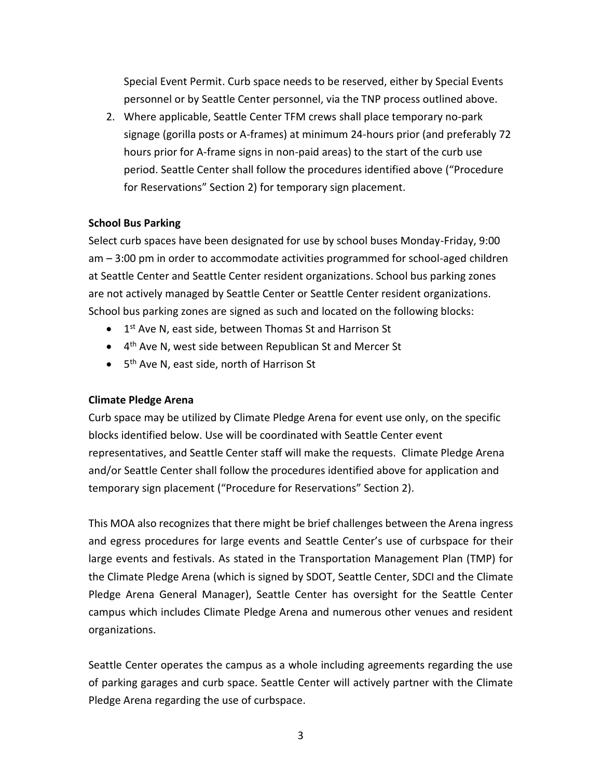Special Event Permit. Curb space needs to be reserved, either by Special Events personnel or by Seattle Center personnel, via the TNP process outlined above.

2. Where applicable, Seattle Center TFM crews shall place temporary no-park signage (gorilla posts or A-frames) at minimum 24-hours prior (and preferably 72 hours prior for A-frame signs in non-paid areas) to the start of the curb use period. Seattle Center shall follow the procedures identified above ("Procedure for Reservations" Section 2) for temporary sign placement.

#### **School Bus Parking**

Select curb spaces have been designated for use by school buses Monday-Friday, 9:00 am – 3:00 pm in order to accommodate activities programmed for school-aged children at Seattle Center and Seattle Center resident organizations. School bus parking zones are not actively managed by Seattle Center or Seattle Center resident organizations. School bus parking zones are signed as such and located on the following blocks:

- 1<sup>st</sup> Ave N, east side, between Thomas St and Harrison St
- 4<sup>th</sup> Ave N, west side between Republican St and Mercer St
- 5<sup>th</sup> Ave N, east side, north of Harrison St

#### **Climate Pledge Arena**

Curb space may be utilized by Climate Pledge Arena for event use only, on the specific blocks identified below. Use will be coordinated with Seattle Center event representatives, and Seattle Center staff will make the requests. Climate Pledge Arena and/or Seattle Center shall follow the procedures identified above for application and temporary sign placement ("Procedure for Reservations" Section 2).

This MOA also recognizes that there might be brief challenges between the Arena ingress and egress procedures for large events and Seattle Center's use of curbspace for their large events and festivals. As stated in the Transportation Management Plan (TMP) for the Climate Pledge Arena (which is signed by SDOT, Seattle Center, SDCI and the Climate Pledge Arena General Manager), Seattle Center has oversight for the Seattle Center campus which includes Climate Pledge Arena and numerous other venues and resident organizations.

Seattle Center operates the campus as a whole including agreements regarding the use of parking garages and curb space. Seattle Center will actively partner with the Climate Pledge Arena regarding the use of curbspace.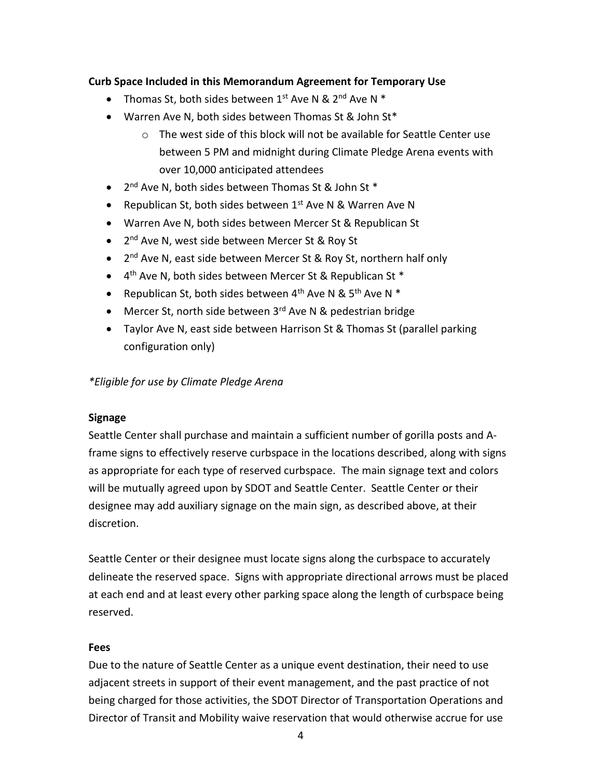### **Curb Space Included in this Memorandum Agreement for Temporary Use**

- Thomas St, both sides between  $1^{st}$  Ave N &  $2^{nd}$  Ave N  $*$
- Warren Ave N, both sides between Thomas St & John St\*
	- o The west side of this block will not be available for Seattle Center use between 5 PM and midnight during Climate Pledge Arena events with over 10,000 anticipated attendees
- 2<sup>nd</sup> Ave N, both sides between Thomas St & John St \*
- **•** Republican St, both sides between  $1^{st}$  Ave N & Warren Ave N
- Warren Ave N, both sides between Mercer St & Republican St
- 2<sup>nd</sup> Ave N, west side between Mercer St & Roy St
- 2<sup>nd</sup> Ave N, east side between Mercer St & Roy St, northern half only
- 4<sup>th</sup> Ave N, both sides between Mercer St & Republican St \*
- Republican St, both sides between  $4^{th}$  Ave N &  $5^{th}$  Ave N  $*$
- Mercer St, north side between 3<sup>rd</sup> Ave N & pedestrian bridge
- Taylor Ave N, east side between Harrison St & Thomas St (parallel parking configuration only)

*\*Eligible for use by Climate Pledge Arena*

#### **Signage**

Seattle Center shall purchase and maintain a sufficient number of gorilla posts and Aframe signs to effectively reserve curbspace in the locations described, along with signs as appropriate for each type of reserved curbspace. The main signage text and colors will be mutually agreed upon by SDOT and Seattle Center. Seattle Center or their designee may add auxiliary signage on the main sign, as described above, at their discretion.

Seattle Center or their designee must locate signs along the curbspace to accurately delineate the reserved space. Signs with appropriate directional arrows must be placed at each end and at least every other parking space along the length of curbspace being reserved.

#### **Fees**

Due to the nature of Seattle Center as a unique event destination, their need to use adjacent streets in support of their event management, and the past practice of not being charged for those activities, the SDOT Director of Transportation Operations and Director of Transit and Mobility waive reservation that would otherwise accrue for use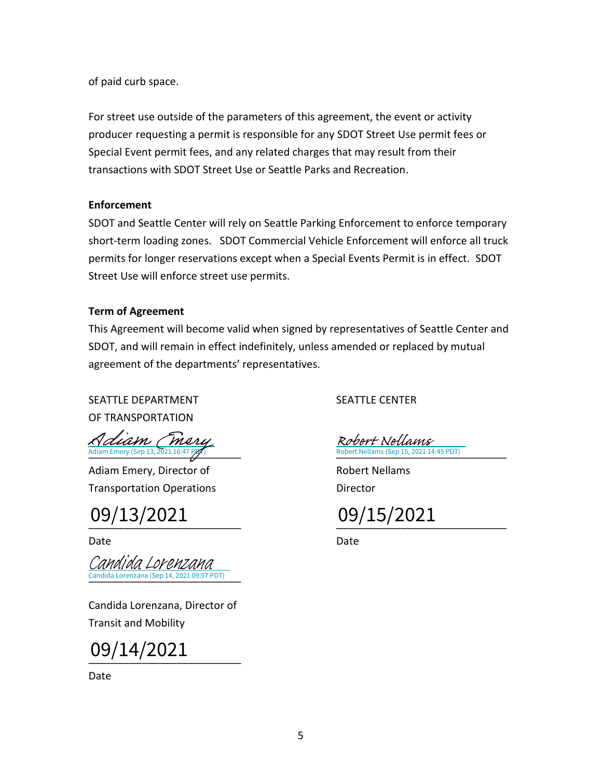of paid curb space.

For street use outside of the parameters of this agreement, the event or activity producer requesting a permit is responsible for any SDOT Street Use permit fees or Special Event permit fees, and any related charges that may result from their transactions with SDOT Street Use or Seattle Parks and Recreation.

#### **Enforcement**

SDOT and Seattle Center will rely on Seattle Parking Enforcement to enforce temporary short-term loading zones. SDOT Commercial Vehicle Enforcement will enforce all truck permits for longer reservations except when a Special Events Permit is in effect. SDOT Street Use will enforce street use permits.

### **Term of Agreement**

This Agreement will become valid when signed by representatives of Seattle Center and SDOT, and will remain in effect indefinitely, unless amended or replaced by mutual agreement of the departments' representatives.

# SEATTLE DEPARTMENT SEATTLE CENTER

OF TRANSPORTATION

[Adiam Emery](https://seattlegov.na1.adobesign.com/verifier?tx=CBJCHBCAABAA7ktvuXiGon1nOa9e9pGLT02ukZR_BG-X) (Sep 13, 2021 16:47 PDT)<br>Adiam Emery (Sep 13, 2021 16:47 PDT) Robert Nellams (Sep 15, 2021 14:45 PDT)

Adiam Emery, Director of Robert Nellams Transportation Operations **Director** Director

\_\_\_\_\_\_\_\_\_\_\_\_\_\_\_\_\_\_\_\_\_\_\_\_\_\_ \_\_\_\_\_\_\_\_\_\_\_\_\_\_\_\_\_\_\_\_\_\_\_\_\_\_\_\_\_ 09/15/202109/13/2021

\_\_\_\_\_\_\_\_\_\_\_\_\_\_\_\_\_\_\_\_\_\_\_\_\_\_ Candida Lorenzana (Sep 14, 2021 09:57 PDT) [Candida Lorenzana](https://seattlegov.na1.adobesign.com/verifier?tx=CBJCHBCAABAA7ktvuXiGon1nOa9e9pGLT02ukZR_BG-X)

Candida Lorenzana, Director of Transit and Mobility

\_\_\_\_\_\_\_\_\_\_\_\_\_\_\_\_\_\_\_\_\_\_\_\_\_\_ 09/14/2021

Date

bbert Nellams (Sep 15, 2021 14:45 PDT) Robert Nellams

Date **Date** Date **Date** Date **Date**